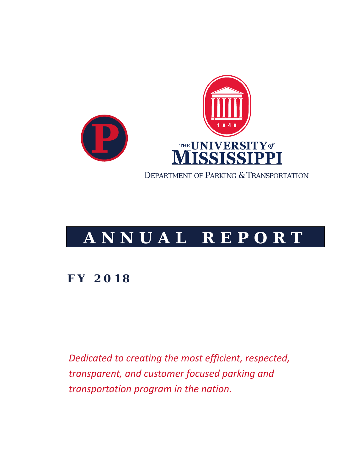

# **ANNUAL REPORT**

## **FY 2018**

*Dedicated to creating the most efficient, respected, transparent, and customer focused parking and transportation program in the nation.*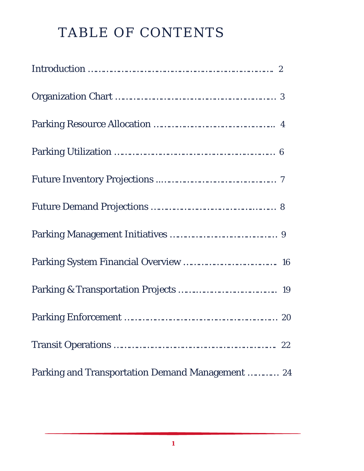# TABLE OF CONTENTS

|                                                  | 22 |
|--------------------------------------------------|----|
| Parking and Transportation Demand Management  24 |    |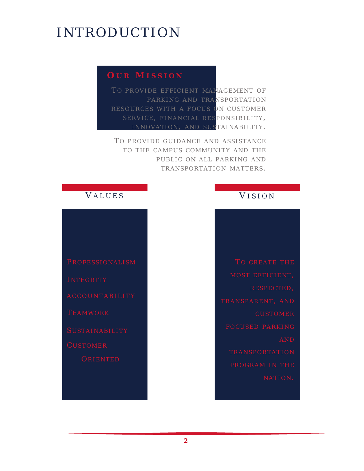# INTRODUCTION

### *O U R M ISSION*

TO PROVIDE EFFICIENT MANAGEMENT OF PARKING AND TRANSPORTATION RESOURCES WITH A FOCUS ON CUSTOMER SERVICE, FINANCIAL RESPONSIBILITY, INNOVATION, AND SUSTAINABILITY.

TO PROVIDE GUIDANCE AND ASSISTANCE TO THE CAMPUS COMMUNITY AND THE PUBLIC ON ALL PARKING AND TRANSPORTATION MATTERS .

# *V ALUES*

### *V ISION*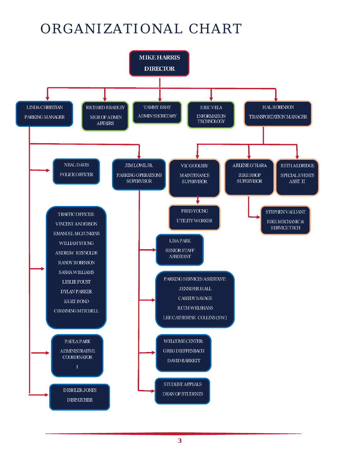# ORGANIZATIONAL CHART

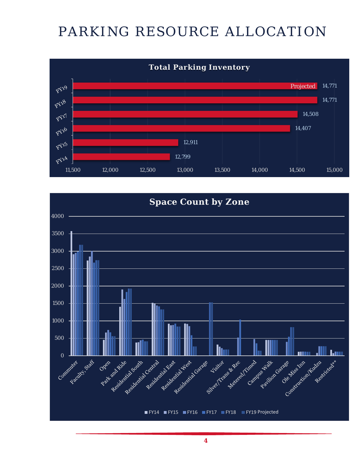# PARKING RESOURCE ALLOCATION



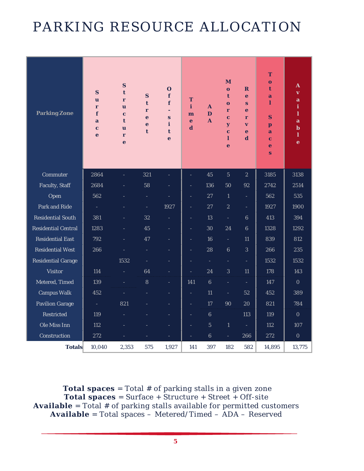# PARKING RESOURCE ALLOCATION

| <b>Parking Zone</b>        | S<br>u<br>r<br>f<br>a<br>$\mathbf c$<br>e | $\mathbf S$<br>t<br>r<br>$\overline{\mathbf{u}}$<br>$\mathbf c$<br>t<br>u<br>r<br>$\mathbf e$ | $\mathbf S$<br>t<br>r<br>e<br>$\mathbf e$<br>t | $\mathbf{O}$<br>f<br>f<br>$\blacksquare$<br>$\mathbf{s}$<br>i<br>t<br>e | T<br>i<br>m<br>e<br>$\overline{\mathbf{d}}$ | A<br>D<br>$\mathbf{A}$   | M<br>$\mathbf{o}$<br>t<br>$\mathbf{o}$<br>r<br>$\mathbf c$<br>$\overline{\mathbf{y}}$<br>$\mathbf c$<br>ı<br>$\mathbf e$ | $\mathbf R$<br>e<br>S<br>$\ddot{\textbf{e}}$<br>r<br>$\overline{\mathbf{v}}$<br>e<br>$\mathbf d$ | T<br>$\mathbf o$<br>t<br>a<br>ı<br>S<br>p<br>a<br>$\mathbf c$<br>e<br>S | A<br>$\overline{\mathbf{v}}$<br>a<br>i<br>$\mathbf{l}$<br>a<br>$\mathbf b$<br>1<br>$\mathbf e$ |
|----------------------------|-------------------------------------------|-----------------------------------------------------------------------------------------------|------------------------------------------------|-------------------------------------------------------------------------|---------------------------------------------|--------------------------|--------------------------------------------------------------------------------------------------------------------------|--------------------------------------------------------------------------------------------------|-------------------------------------------------------------------------|------------------------------------------------------------------------------------------------|
| Commuter                   | 2864                                      |                                                                                               | 321                                            |                                                                         |                                             | 45                       | $\overline{5}$                                                                                                           | $\overline{2}$                                                                                   | 3185                                                                    | 3138                                                                                           |
| <b>Faculty, Staff</b>      | 2684                                      |                                                                                               | 58                                             | Ξ                                                                       | Ξ                                           | 136                      | 50                                                                                                                       | 92                                                                                               | 2742                                                                    | 2514                                                                                           |
| Open                       | 562                                       |                                                                                               | ÷,                                             | $\overline{\phantom{a}}$                                                | $\blacksquare$                              | 27                       | $\mathbf{1}$                                                                                                             | $\equiv$                                                                                         | 562                                                                     | 535                                                                                            |
| <b>Park and Ride</b>       | ÷.                                        |                                                                                               | ÷,                                             | 1927                                                                    | $\equiv$                                    | 27                       | $\sqrt{2}$                                                                                                               | $\equiv$                                                                                         | 1927                                                                    | 1900                                                                                           |
| <b>Residential South</b>   | 381                                       |                                                                                               | 32                                             |                                                                         | $\blacksquare$                              | 13                       | $\Box$                                                                                                                   | $6\phantom{1}$                                                                                   | 413                                                                     | 394                                                                                            |
| <b>Residential Central</b> | 1283                                      | L,                                                                                            | 45                                             | ÷,                                                                      | $\equiv$                                    | 30                       | 24                                                                                                                       | 6                                                                                                | 1328                                                                    | 1292                                                                                           |
| <b>Residential East</b>    | 792                                       | ٠                                                                                             | 47                                             | $\overline{\phantom{a}}$                                                | $\blacksquare$                              | 16                       | $\Box$                                                                                                                   | 11                                                                                               | 839                                                                     | 812                                                                                            |
| <b>Residential West</b>    | 266                                       |                                                                                               |                                                | ٠                                                                       | Ξ                                           | 28                       | $\boldsymbol{6}$                                                                                                         | $\overline{3}$                                                                                   | 266                                                                     | 235                                                                                            |
| <b>Residential Garage</b>  |                                           | 1532                                                                                          |                                                |                                                                         | Ξ                                           | $\overline{\phantom{a}}$ | L,                                                                                                                       | ÷,                                                                                               | 1532                                                                    | 1532                                                                                           |
| <b>Visitor</b>             | 114                                       |                                                                                               | 64                                             |                                                                         | $\overline{a}$                              | 24                       | $\overline{3}$                                                                                                           | 11                                                                                               | 178                                                                     | 143                                                                                            |
| Metered, Timed             | 139                                       |                                                                                               | $\bf 8$                                        |                                                                         | 141                                         | $\boldsymbol{6}$         | $\blacksquare$                                                                                                           | $\blacksquare$                                                                                   | 147                                                                     | $\mathbf{0}$                                                                                   |
| <b>Campus Walk</b>         | 452                                       |                                                                                               |                                                |                                                                         | Ξ                                           | 11                       | ÷,                                                                                                                       | 52                                                                                               | 452                                                                     | 389                                                                                            |
| <b>Pavilion Garage</b>     | $\omega$                                  | 821                                                                                           |                                                | $\overline{\phantom{a}}$                                                | Ξ                                           | 17                       | 90                                                                                                                       | 20                                                                                               | 821                                                                     | 784                                                                                            |
| <b>Restricted</b>          | 119                                       |                                                                                               |                                                | $\overline{\phantom{a}}$                                                | $\overline{\phantom{a}}$                    | $\bf 6$                  |                                                                                                                          | 113                                                                                              | 119                                                                     | $\mathbf{0}$                                                                                   |
| Ole Miss Inn               | 112                                       |                                                                                               |                                                | ٠                                                                       | $\equiv$                                    | $\overline{5}$           | $\mathbf{1}$                                                                                                             | $\equiv$                                                                                         | 112                                                                     | 107                                                                                            |
| Construction               | 272                                       |                                                                                               |                                                |                                                                         |                                             | $6\phantom{1}6$          | L,                                                                                                                       | 266                                                                                              | 272                                                                     | $\mathbf{0}$                                                                                   |
| <b>Totals</b>              | 10,040                                    | 2,353                                                                                         | 575                                            | 1,927                                                                   | 141                                         | 397                      | 182                                                                                                                      | 582                                                                                              | 14,895                                                                  | 13,775                                                                                         |

**Total spaces** = Total # of parking stalls in a given zone **Total spaces** = Surface + Structure + Street + Off-site **Available** = Total # of parking stalls available for permitted customers **Available** = Total spaces – Metered/Timed – ADA – Reserved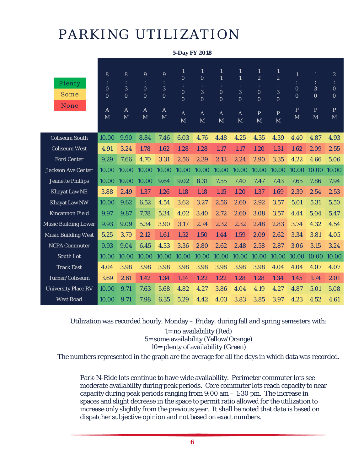# PARKING UTILIZATION

|                             |                                                       |                                                        |                                                                                         |                                                          | J-DAY F I <i>W</i> IO                                                                  |                                                                               |                                                                                       |                                                                                                       |                                                                                                                                  |                                                                                       |                                                                       |                                                                        |                                                                                        |
|-----------------------------|-------------------------------------------------------|--------------------------------------------------------|-----------------------------------------------------------------------------------------|----------------------------------------------------------|----------------------------------------------------------------------------------------|-------------------------------------------------------------------------------|---------------------------------------------------------------------------------------|-------------------------------------------------------------------------------------------------------|----------------------------------------------------------------------------------------------------------------------------------|---------------------------------------------------------------------------------------|-----------------------------------------------------------------------|------------------------------------------------------------------------|----------------------------------------------------------------------------------------|
| Plenty<br>Some<br>None      | 8<br>$\mathbf{0}$<br>$\mathbf{0}$<br>$\mathbf A$<br>M | 8<br>3<br>$\mathbf{0}$<br>$\mathbf{A}$<br>$\mathbf{M}$ | $9\phantom{.}$<br>$\ddot{\cdot}$<br>$\mathbf{0}$<br>$\overline{0}$<br>$\mathbf{A}$<br>M | $9\phantom{.}$<br>3<br>$\mathbf{0}$<br>$\mathbf{A}$<br>M | $\mathbf{1}$<br>$\overline{0}$<br>$\boldsymbol{0}$<br>$\mathbf{0}$<br>$\mathbf A$<br>M | $\mathbf{1}$<br>$\mathbf{0}$<br>3<br>$\bf{0}$<br>$\mathbf{A}$<br>$\mathbf{M}$ | $\mathbf{1}$<br>$\mathbf{1}$<br>$\mathbf{0}$<br>$\boldsymbol{0}$<br>$\mathbf{A}$<br>M | $\mathbf{1}$<br>$\mathbf{1}$<br>$\ddot{\cdot}$<br>3<br>$\overline{0}$<br>$\mathbf{A}$<br>$\mathbf{M}$ | $\mathbf{1}$<br>$\boldsymbol{2}$<br>$\ddot{\phantom{a}}$<br>$\boldsymbol{0}$<br>$\boldsymbol{0}$<br>$\, {\bf p}$<br>$\mathbf{M}$ | $\mathbf{1}$<br>$\overline{c}$<br>3<br>$\overline{0}$<br>$\, {\bf p}$<br>$\mathbf{M}$ | $\mathbf{1}$<br>$\overline{0}$<br>$\overline{0}$<br>$\mathbf{P}$<br>M | $\mathbf{1}$<br>÷<br>3<br>$\mathbf{0}$<br>$\, {\bf p}$<br>$\mathbf{M}$ | $\boldsymbol{2}$<br>÷<br>$\mathbf{0}$<br>$\mathbf{0}$<br>$\overline{P}$<br>$\mathbf M$ |
| <b>Coliseum South</b>       | 10.00                                                 | 9.90                                                   | 8.84                                                                                    | 7.46                                                     | 6.03                                                                                   | 4.76                                                                          | 4.48                                                                                  | 4.25                                                                                                  | 4.35                                                                                                                             | 4.39                                                                                  | 4.40                                                                  | 4.87                                                                   | 4.93                                                                                   |
| <b>Coliseum West</b>        | 4.91                                                  | 3.24                                                   | 1.78                                                                                    | 1.62                                                     | 1.28                                                                                   | 1.28                                                                          | 1.17                                                                                  | 1.17                                                                                                  | 1.20                                                                                                                             | 1.31                                                                                  | 1.62                                                                  | 2.09                                                                   | 2.55                                                                                   |
| <b>Ford Center</b>          | 9.29                                                  | 7.66                                                   | 4.70                                                                                    | 3.31                                                     | 2.56                                                                                   | 2.39                                                                          | 2.13                                                                                  | 2.24                                                                                                  | 2.90                                                                                                                             | 3.35                                                                                  | 4.22                                                                  | 4.66                                                                   | 5.06                                                                                   |
| <b>Jackson Ave Center</b>   | 10.00                                                 | 10.00                                                  | 10.00                                                                                   | 10.00                                                    | 10.00                                                                                  | 10.00                                                                         | 10.00                                                                                 | 10.00                                                                                                 | 10.00                                                                                                                            | 10.00                                                                                 | 10.00                                                                 | 10.00                                                                  | 10.00                                                                                  |
| <b>Jeanette Phillips</b>    | 10.00                                                 | 10.00                                                  | 10.00                                                                                   | 9.64                                                     | 9.02                                                                                   | 8.31                                                                          | 7.55                                                                                  | 7.40                                                                                                  | 7.47                                                                                                                             | 7.43                                                                                  | 7.65                                                                  | 7.86                                                                   | 7.94                                                                                   |
| <b>Khayat Law NE</b>        | 3.88                                                  | 2.49                                                   | 1.37                                                                                    | 1.26                                                     | 1.18                                                                                   | 1.18                                                                          | 1.15                                                                                  | 1.20                                                                                                  | 1.37                                                                                                                             | 1.69                                                                                  | 2.39                                                                  | 2.54                                                                   | 2.53                                                                                   |
| <b>Khayat Law NW</b>        | 10.00                                                 | 9.62                                                   | 6.52                                                                                    | 4.54                                                     | 3.62                                                                                   | 3.27                                                                          | 2.56                                                                                  | 2.60                                                                                                  | 2.92                                                                                                                             | 3.57                                                                                  | 5.01                                                                  | 5.31                                                                   | 5.50                                                                                   |
| <b>Kincannon Field</b>      | 9.97                                                  | 9.87                                                   | 7.78                                                                                    | 5.34                                                     | 4.02                                                                                   | 3.40                                                                          | 2.72                                                                                  | 2.60                                                                                                  | 3.08                                                                                                                             | 3.57                                                                                  | 4.44                                                                  | 5.04                                                                   | 5.47                                                                                   |
| <b>Music Building Lower</b> | 9.93                                                  | 9.09                                                   | 5.34                                                                                    | 3.90                                                     | 3.17                                                                                   | 2.74                                                                          | 2.32                                                                                  | 2.32                                                                                                  | 2.48                                                                                                                             | 2.83                                                                                  | 3.74                                                                  | 4.32                                                                   | 4.54                                                                                   |
| <b>Music Building West</b>  | 5.25                                                  | 3.79                                                   | 2.12                                                                                    | 1.61                                                     | 1.52                                                                                   | 1.50                                                                          | 1.44                                                                                  | 1.59                                                                                                  | 2.09                                                                                                                             | 2.62                                                                                  | 3.34                                                                  | 3.81                                                                   | 4.05                                                                                   |
| <b>NCPA Commuter</b>        | 9.93                                                  | 9.04                                                   | 6.45                                                                                    | 4.33                                                     | 3.36                                                                                   | 2.80                                                                          | 2.62                                                                                  | 2.48                                                                                                  | 2.58                                                                                                                             | 2.87                                                                                  | 3.06                                                                  | 3.15                                                                   | 3.24                                                                                   |
| <b>South Lot</b>            | 10.00                                                 | 10.00                                                  | 10.00                                                                                   | 10.00                                                    | 10.00                                                                                  | 10.00                                                                         | 10.00                                                                                 | 10.00                                                                                                 | 10.00                                                                                                                            | 10.00                                                                                 | 10.00                                                                 | 10.00                                                                  | 10.00                                                                                  |
| <b>Track East</b>           | 4.04                                                  | 3.98                                                   | 3.98                                                                                    | 3.98                                                     | 3.98                                                                                   | 3.98                                                                          | 3.98                                                                                  | 3.98                                                                                                  | 3.98                                                                                                                             | 4.04                                                                                  | 4.04                                                                  | 4.07                                                                   | 4.07                                                                                   |
| Turner/Coliseum             | 3.69                                                  | 2.61                                                   | 1.42                                                                                    | 1.34                                                     | 1.14                                                                                   | 1.22                                                                          | 1.22                                                                                  | 1.28                                                                                                  | 1.28                                                                                                                             | 1.34                                                                                  | 1.45                                                                  | 1.74                                                                   | 2.01                                                                                   |
| <b>University Place RV</b>  | 10.00                                                 | 9.71                                                   | 7.63                                                                                    | 5.68                                                     | 4.82                                                                                   | 4.27                                                                          | 3.86                                                                                  | 4.04                                                                                                  | 4.19                                                                                                                             | 4.27                                                                                  | 4.87                                                                  | 5.01                                                                   | 5.08                                                                                   |
| <b>West Road</b>            | 10.00                                                 | 9.71                                                   | 7.98                                                                                    | 6.35                                                     | 5.29                                                                                   | 4.42                                                                          | 4.03                                                                                  | 3.83                                                                                                  | 3.85                                                                                                                             | 3.97                                                                                  | 4.23                                                                  | 4.52                                                                   | 4.61                                                                                   |

**5-Day FY 2018**

Utilization was recorded hourly, Monday – Friday, during fall and spring semesters with:

1= no availability (Red) 5= some availability (Yellow/Orange) 10= plenty of availability (Green)

The numbers represented in the graph are the average for all the days in which data was recorded.

Park-N-Ride lots continue to have wide availability. Perimeter commuter lots see moderate availability during peak periods. Core commuter lots reach capacity to near capacity during peak periods ranging from  $9:00$  am  $-1:30$  pm. The increase in spaces and slight decrease in the space to permit ratio allowed for the utilization to increase only slightly from the previous year. It shall be noted that data is based on dispatcher subjective opinion and not based on exact numbers.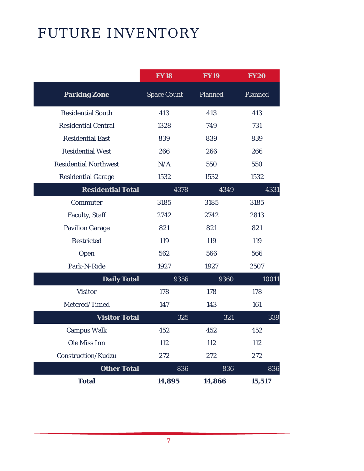# FUTURE INVENTORY

|                              | <b>FY18</b>        | <b>FY19</b>    | <b>FY20</b> |
|------------------------------|--------------------|----------------|-------------|
| <b>Parking Zone</b>          | <b>Space Count</b> | <b>Planned</b> | Planned     |
| <b>Residential South</b>     | 413                | 413            | 413         |
| <b>Residential Central</b>   | 1328               | 749            | 731         |
| <b>Residential East</b>      | 839                | 839            | 839         |
| <b>Residential West</b>      | 266                | 266            | 266         |
| <b>Residential Northwest</b> | N/A                | 550            | 550         |
| <b>Residential Garage</b>    | 1532               | 1532           | 1532        |
| <b>Residential Total</b>     | 4378               | 4349           | 4331        |
| Commuter                     | 3185               | 3185           | 3185        |
| <b>Faculty, Staff</b>        | 2742               | 2742           | 2813        |
| <b>Pavilion Garage</b>       | 821                | 821            | 821         |
| <b>Restricted</b>            | 119                | 119            | 119         |
| Open                         | 562                | 566            | 566         |
| Park-N-Ride                  | 1927               | 1927           | 2507        |
| <b>Daily Total</b>           | 9356               | 9360           | 10011       |
| <b>Visitor</b>               | 178                | 178            | 178         |
| Metered/Timed                | 147                | 143            | 161         |
| <b>Visitor Total</b>         | 325                | 321            | 339         |
| <b>Campus Walk</b>           | 452                | 452            | 452         |
| Ole Miss Inn                 | 112                | 112            | 112         |
| <b>Construction/Kudzu</b>    | 272                | 272            | 272         |
| <b>Other Total</b>           | 836                | 836            | 836         |
| <b>Total</b>                 | 14,895             | 14,866         | 15,517      |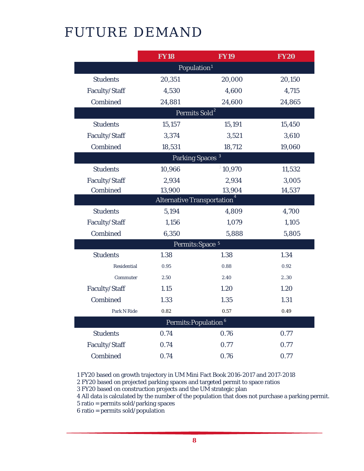# FUTURE DEMAND

|                           | <b>FY18</b>                       | <b>FY19</b>                      | <b>FY20</b> |  |  |  |  |  |  |
|---------------------------|-----------------------------------|----------------------------------|-------------|--|--|--|--|--|--|
|                           | Population <sup>1</sup>           |                                  |             |  |  |  |  |  |  |
| <b>Students</b>           | 20,351                            | 20,000                           | 20,150      |  |  |  |  |  |  |
| Faculty/Staff             | 4,530                             | 4,600                            | 4,715       |  |  |  |  |  |  |
| Combined                  | 24,881                            | 24,600                           | 24,865      |  |  |  |  |  |  |
| Permits Sold <sup>2</sup> |                                   |                                  |             |  |  |  |  |  |  |
| <b>Students</b>           | 15,157                            | 15,191                           | 15,450      |  |  |  |  |  |  |
| Faculty/Staff             | 3,374                             | 3,521                            | 3,610       |  |  |  |  |  |  |
| Combined                  | 18,531                            | 18,712                           | 19,060      |  |  |  |  |  |  |
|                           |                                   | Parking Spaces <sup>3</sup>      |             |  |  |  |  |  |  |
| <b>Students</b>           | 10,966                            | 310,970                          | 11,532      |  |  |  |  |  |  |
| Faculty/Staff             | 2,934                             | 2,934                            | 3,005       |  |  |  |  |  |  |
| Combined                  | 13,900                            | 13,904                           | 14,537      |  |  |  |  |  |  |
|                           | <b>Alternative Transportation</b> |                                  |             |  |  |  |  |  |  |
| <b>Students</b>           | 5,194                             | 4,809                            | 4,700       |  |  |  |  |  |  |
| Faculty/Staff             | 1,156                             | 1,079                            | 1,105       |  |  |  |  |  |  |
| Combined                  | 6,350                             | 5,888                            | 5,805       |  |  |  |  |  |  |
|                           |                                   | Permits: Space 5                 |             |  |  |  |  |  |  |
| <b>Students</b>           | 1.38                              | 1.38                             | 1.34        |  |  |  |  |  |  |
| <b>Residential</b>        | 0.95                              | 0.88                             | 0.92        |  |  |  |  |  |  |
| Commuter                  | 2.50                              | 2.40                             | 2.30        |  |  |  |  |  |  |
| Faculty/Staff             | 1.15                              | 1.20                             | 1.20        |  |  |  |  |  |  |
| Combined                  | 1.33                              | 1.35                             | 1.31        |  |  |  |  |  |  |
| Park N Ride               | 0.82                              | 0.57                             | 0.49        |  |  |  |  |  |  |
|                           |                                   | Permits: Population <sup>6</sup> |             |  |  |  |  |  |  |
| <b>Students</b>           | 0.74                              | 0.76                             | 0.77        |  |  |  |  |  |  |
| Faculty/Staff             | 0.74                              | 0.77                             | 0.77        |  |  |  |  |  |  |
| Combined                  | 0.74                              | 0.76                             | 0.77        |  |  |  |  |  |  |

1 FY20 based on growth trajectory in UM Mini Fact Book 2016-2017 and 2017-2018

2 FY20 based on projected parking spaces and targeted permit to space ratios

3 FY20 based on construction projects and the UM strategic plan

4 All data is calculated by the number of the population that does not purchase a parking permit.

5 ratio = permits sold/parking spaces

6 ratio = permits sold/population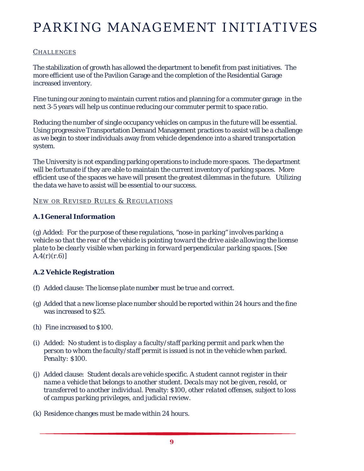### **CHALLENGES**

The stabilization of growth has allowed the department to benefit from past initiatives. The more efficient use of the Pavilion Garage and the completion of the Residential Garage increased inventory.

Fine tuning our zoning to maintain current ratios and planning for a commuter garage in the next 3-5 years will help us continue reducing our commuter permit to space ratio.

Reducing the number of single occupancy vehicles on campus in the future will be essential. Using progressive Transportation Demand Management practices to assist will be a challenge as we begin to steer individuals away from vehicle dependence into a shared transportation system.

The University is not expanding parking operations to include more spaces. The department will be fortunate if they are able to maintain the current inventory of parking spaces. More efficient use of the spaces we have will present the greatest dilemmas in the future. Utilizing the data we have to assist will be essential to our success.

### NEW OR REVISED RULES & REGULATIONS

### **A.1 General Information**

(g) Added: *For the purpose of these regulations, "nose-in parking" involves parking a vehicle so that the rear of the vehicle is pointing toward the drive aisle allowing the license plate to be clearly visible when parking in forward perpendicular parking spaces. [See A.4(r)(r.6)]*

### **A.2 Vehicle Registration**

- (f) Added clause: *The license plate number must be true and correct.*
- (g) Added that a new license place number should be reported *within 24 hours* and the fine was increased to *\$25.*
- (h) Fine increased to \$100.
- (i) Added: *No student is to display a faculty/staff parking permit and park when the person to whom the faculty/staff permit is issued is not in the vehicle when parked. Penalty: \$100.*
- (j) Added clause: *Student decals are vehicle specific. A student cannot register in their name a vehicle that belongs to another student. Decals may not be given, resold, or transferred to another individual.* Penalty: *\$100, other related offenses, subject to loss of campus parking privileges, and judicial review.*
- (k) Residence changes must be made within *24 hours.*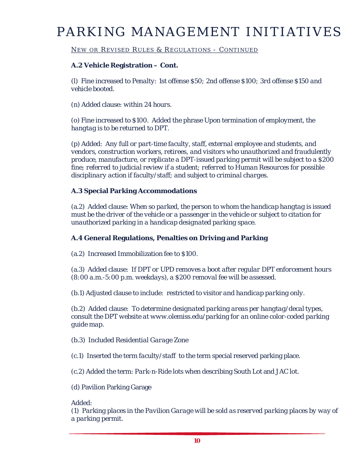### NEW OR REVISED RULES & REGULATIONS - CONTINUED

### **A.2 Vehicle Registration – Cont.**

(l) Fine increased to *Penalty: 1st offense \$50; 2nd offense \$100; 3rd offense \$150 and vehicle booted.*

(n) Added clause: *within 24 hours.*

(o) Fine increased to *\$100.* Added the phrase *Upon termination of employment, the hangtag is to be returned to DPT.* 

(p) Added: *Any full or part-time faculty, staff, external employee and students, and vendors, construction workers, retirees, and visitors who unauthorized and fraudulently produce, manufacture, or replicate a DPT-issued parking permit will be subject to a \$200 fine; referred to judicial review if a student; referred to Human Resources for possible disciplinary action if faculty/staff; and subject to criminal charges.*

### **A.3 Special Parking Accommodations**

(a.2) Added clause: *When so parked, the person to whom the handicap hangtag is issued must be the driver of the vehicle or a passenger in the vehicle or subject to citation for unauthorized parking in a handicap designated parking space.* 

### **A.4 General Regulations, Penalties on Driving and Parking**

(a.2) Increased Immobilization fee to *\$100.*

(a.3) Added clause: *If DPT or UPD removes a boot after regular DPT enforcement hours (8:00 a.m.-5:00 p.m. weekdays), a \$200 removal fee will be assessed.*

(b.1) Adjusted clause to include: restricted to visitor *and handicap parking only.*

(b.2) Added clause: *To determine designated parking areas per hangtag/decal types, consult the DPT website at www.olemiss.edu/parking for an online color-coded parking guide map.*

(b.3) Included *Residential Garage* Zone

(c.1) Inserted the term *faculty/staff* to the term special reserved parking place.

(c.2) Added the term: *Park-n-Ride lots* when describing South Lot and JAC lot.

(d) Pavilion Parking Garage

### Added:

*(1) Parking places in the Pavilion Garage will be sold as reserved parking places by way of a parking permit.*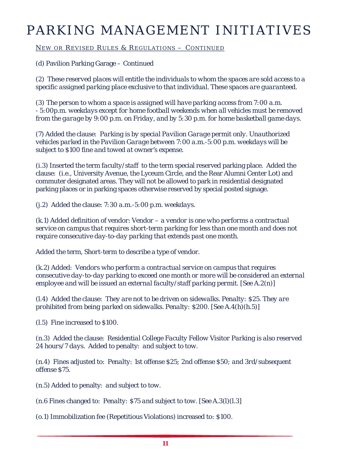NEW OR REVISED RULES & REGULATIONS - CONTINUED

(d) Pavilion Parking Garage – Continued

*(2) These reserved places will entitle the individuals to whom the spaces are sold access to a specific assigned parking place exclusive to that individual. These spaces are guaranteed.*

*(3) The person to whom a space is assigned will have parking access from 7:00 a.m. - 5:00p.m. weekdays except for home football weekends when all vehicles must be removed from the garage by 9:00 p.m. on Friday, and by 5:30 p.m. for home basketball game days.*

(7) Added the clause: *Parking is by special Pavilion Garage permit only. Unauthorized vehicles parked in the Pavilion Garage between 7:00 a.m.-5:00 p.m. weekdays will be subject to \$100 fine and towed at owner's expense.*

(i.3) Inserted the term *faculty/staff* to the term special reserved parking place. Added the clause: (i.e., University Avenue, the Lyceum Circle, and the Rear Alumni Center Lot) and commuter designated areas. They will not be allowed to park in residential designated parking places or in parking spaces otherwise reserved by special posted signage.

(j.2) Added the clause: *7:30 a.m.-5:00 p.m. weekdays.*

(k.1) Added definition of vendor: *Vendor – a vendor is one who performs a contractual service on campus that requires short-term parking for less than one month and does not require consecutive day-to-day parking that extends past one month.*

Added the term, *Short-term* to describe a type of vendor.

(k.2) Added: *Vendors who perform a contractual service on campus that requires consecutive day-to-day parking to exceed one month or more will be considered an external employee and will be issued an external faculty/staff parking permit. [See A.2(n)]*

(l.4) Added the clause: *They are not to be driven on sidewalks. Penalty: \$25. They are prohibited from being parked on sidewalks. Penalty: \$200. [See A.4(h)(h.5)]*

(l.5) Fine increased to *\$100.*

(n.3) Added the clause: *Residential College Faculty Fellow Visitor Parking is also reserved 24 hours/7 days.* Added to penalty: *and subject to tow.*

(n.4) Fines adjusted to: *Penalty: 1st offense \$25; 2nd offense \$50; and 3rd/subsequent offense \$75.*

(n.5) Added to penalty: *and subject to tow.*

(n.6 Fines changed to: *Penalty: \$75 and subject to tow. [See A.3(l)(l.3]*

*(o.1)* Immobilization fee (Repetitious Violations) increased to*: \$100.*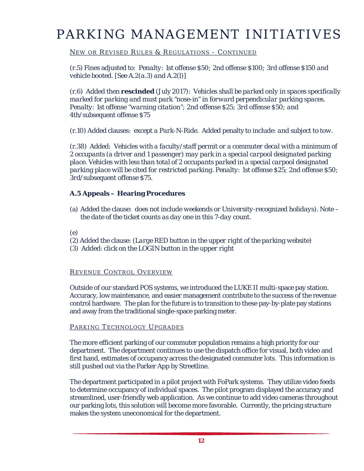### NEW OR REVISED RULES & REGULATIONS - CONTINUED

(r.5) Fines adjusted to: *Penalty: 1st offense \$50; 2nd offense \$100; 3rd offense \$150 and vehicle booted. [See A.2(a.3) and A.2(l)]*

(r.6) Added then **rescinded** (July 2017): *Vehicles shall be parked only in spaces specifically marked for parking and must park "nose-in" in forward perpendicular parking spaces. Penalty: 1st offense "warning citation"; 2nd offense \$25; 3rd offense \$50; and 4th/subsequent offense \$75*

(r.10) Added clauses: *except a Park-N-Ride.* Added penalty to include: *and subject to tow.*

(r.38) Added: *Vehicles with a faculty/staff permit or a commuter decal with a minimum of 2 occupants (a driver and 1 passenger) may park in a special carpool designated parking place. Vehicles with less than total of 2 occupants parked in a special carpool designated parking place will be cited for restricted parking. Penalty: 1st offense \$25; 2nd offense \$50; 3rd/subsequent offense \$75.*

### **A.5 Appeals – Hearing Procedures**

(a) Added the clause: *does not include weekends or University-recognized holidays). Note – the date of the ticket counts as day one in this 7-day count.*

### (e)

- (2) Added the clause: *(Large RED button in the upper right of the parking website)*
- (3) Added: *click on the LOGIN button in the upper right*

### R EVENUE C ONTROL OVERVIEW

Outside of our standard POS systems, we introduced the LUKE II multi-space pay station. Accuracy, low maintenance, and easier management contribute to the success of the revenue control hardware. The plan for the future is to transition to these pay-by-plate pay stations and away from the traditional single-space parking meter.

### PARKING TECHNOLOGY UPGRADES

The more efficient parking of our commuter population remains a high priority for our department. The department continues to use the dispatch office for visual, both video and first hand, estimates of occupancy across the designated commuter lots. This information is still pushed out via the Parker App by Streetline.

The department participated in a pilot project with FoPark systems. They utilize video feeds to determine occupancy of individual spaces. The pilot program displayed the accuracy and streamlined, user-friendly web application. As we continue to add video cameras throughout our parking lots, this solution will become more favorable. Currently, the pricing structure makes the system uneconomical for the department.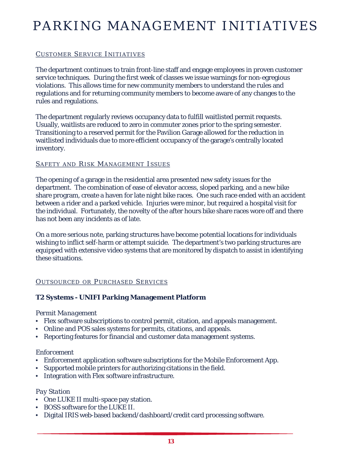### CUSTOMER SERVICE INITIATIVES

The department continues to train front-line staff and engage employees in proven customer service techniques. During the first week of classes we issue warnings for non-egregious violations. This allows time for new community members to understand the rules and regulations and for returning community members to become aware of any changes to the rules and regulations.

The department regularly reviews occupancy data to fulfill waitlisted permit requests. Usually, waitlists are reduced to zero in commuter zones prior to the spring semester. Transitioning to a reserved permit for the Pavilion Garage allowed for the reduction in waitlisted individuals due to more efficient occupancy of the garage's centrally located inventory.

### SAFETY AND RISK MANAGEMENT ISSUES

The opening of a garage in the residential area presented new safety issues for the department. The combination of ease of elevator access, sloped parking, and a new bike share program, create a haven for late night bike races. One such race ended with an accident between a rider and a parked vehicle. Injuries were minor, but required a hospital visit for the individual. Fortunately, the novelty of the after hours bike share races wore off and there has not been any incidents as of late.

On a more serious note, parking structures have become potential locations for individuals wishing to inflict self-harm or attempt suicide. The department's two parking structures are equipped with extensive video systems that are monitored by dispatch to assist in identifying these situations.

### OUTSOURCED OR PURCHASED SERVICES

### **T2 Systems - UNIFI Parking Management Platform**

### *Permit Management*

- Flex software subscriptions to control permit, citation, and appeals management.
- Online and POS sales systems for permits, citations, and appeals.
- Reporting features for financial and customer data management systems.

### *Enforcement*

- Enforcement application software subscriptions for the Mobile Enforcement App.
- Supported mobile printers for authorizing citations in the field.
- Integration with Flex software infrastructure.

### *Pay Station*

- One LUKE II multi-space pay station.
- BOSS software for the LUKE II.
- Digital IRIS web-based backend/dashboard/credit card processing software.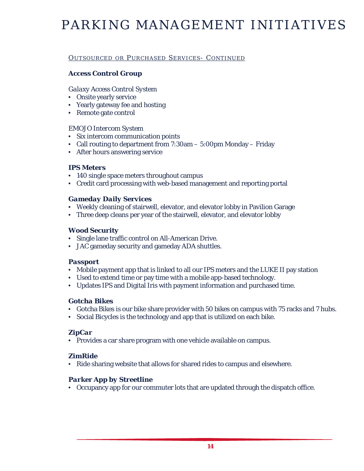### OUTSOURCED OR PURCHASED SERVICES- CONTINUED

### *Access Control Group*

### *Galaxy Access Control System*

- Onsite yearly service
- Yearly gateway fee and hosting
- Remote gate control

### *EMOJO Intercom System*

- Six intercom communication points
- Call routing to department from 7:30am 5:00pm Monday Friday
- After hours answering service

### *IPS Meters*

- 140 single space meters throughout campus
- Credit card processing with web-based management and reporting portal

### *Gameday Daily Services*

- Weekly cleaning of stairwell, elevator, and elevator lobby in Pavilion Garage
- Three deep cleans per year of the stairwell, elevator, and elevator lobby

### *Wood Security*

- Single lane traffic control on All-American Drive.
- JAC gameday security and gameday ADA shuttles.

### *Passport*

- Mobile payment app that is linked to all our IPS meters and the LUKE II pay station
- Used to extend time or pay time with a mobile app-based technology.
- Updates IPS and Digital Iris with payment information and purchased time.

### *Gotcha Bikes*

- Gotcha Bikes is our bike share provider with 50 bikes on campus with 75 racks and 7 hubs.
- Social Bicycles is the technology and app that is utilized on each bike.

### *ZipCar*

• Provides a car share program with one vehicle available on campus.

### *ZimRide*

• Ride sharing website that allows for shared rides to campus and elsewhere.

### *Parker App by Streetline*

• Occupancy app for our commuter lots that are updated through the dispatch office.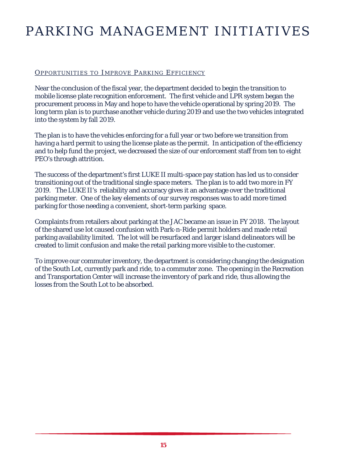### OPPORTUNITIES TO IMPROVE PARKING EFFICIENCY

Near the conclusion of the fiscal year, the department decided to begin the transition to mobile license plate recognition enforcement. The first vehicle and LPR system began the procurement process in May and hope to have the vehicle operational by spring 2019. The long term plan is to purchase another vehicle during 2019 and use the two vehicles integrated into the system by fall 2019.

The plan is to have the vehicles enforcing for a full year or two before we transition from having a hard permit to using the license plate as the permit. In anticipation of the efficiency and to help fund the project, we decreased the size of our enforcement staff from ten to eight PEO's through attrition.

The success of the department's first LUKE II multi-space pay station has led us to consider transitioning out of the traditional single space meters. The plan is to add two more in FY 2019. The LUKE II's reliability and accuracy gives it an advantage over the traditional parking meter. One of the key elements of our survey responses was to add more timed parking for those needing a convenient, short-term parking space.

Complaints from retailers about parking at the JAC became an issue in FY 2018. The layout of the shared use lot caused confusion with Park-n-Ride permit holders and made retail parking availability limited. The lot will be resurfaced and larger island delineators will be created to limit confusion and make the retail parking more visible to the customer.

To improve our commuter inventory, the department is considering changing the designation of the South Lot, currently park and ride, to a commuter zone. The opening in the Recreation and Transportation Center will increase the inventory of park and ride, thus allowing the losses from the South Lot to be absorbed.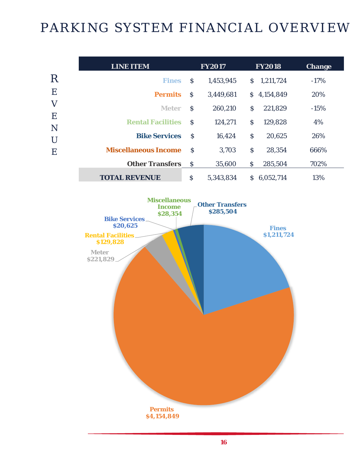# PARKING SYSTEM FINANCIAL OVERVIEW

|             | <b>LINE ITEM</b>            |               | <b>FY2017</b> |                    | <b>FY2018</b> | <b>Change</b> |
|-------------|-----------------------------|---------------|---------------|--------------------|---------------|---------------|
| $\rm R$     | <b>Fines</b>                | <sub>S</sub>  | 1,453,945     | S.                 | 1,211,724     | $-17%$        |
| E           | <b>Permits</b>              | $\mathcal{S}$ | 3,449,681     | S.                 | 4,154,849     | 20%           |
| $\mathbf V$ | <b>Meter</b>                | <sub>S</sub>  | 260,210       | $\mathcal{S}$      | 221,829       | $-15%$        |
| E<br>N      | <b>Rental Facilities</b>    | <sub>S</sub>  | 124,271       | \$                 | 129,828       | 4%            |
| U           | <b>Bike Services</b>        | -S            | 16,424        | $\mathsf{\hat{S}}$ | 20,625        | 26%           |
| E           | <b>Miscellaneous Income</b> | <sup>S</sup>  | 3,703         | $\mathsf{S}$       | 28,354        | 666%          |
|             | <b>Other Transfers</b>      | <sub>S</sub>  | 35,600        | $\mathcal{S}$      | 285,504       | 702%          |
|             | <b>TOTAL REVENUE</b>        | \$            | 5,343,834     | S.                 | 6,052,714     | 13%           |

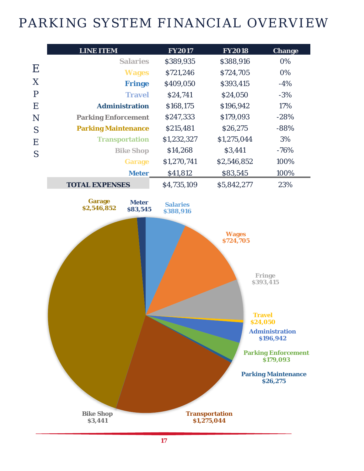# PARKING SYSTEM FINANCIAL OVERVIEW

|           | <b>LINE ITEM</b>                       |                            | <b>FY2017</b>                | <b>FY2018</b>                                                                   | <b>Change</b>                                                                                                                                         |
|-----------|----------------------------------------|----------------------------|------------------------------|---------------------------------------------------------------------------------|-------------------------------------------------------------------------------------------------------------------------------------------------------|
|           |                                        | <b>Salaries</b>            | \$389,935                    | \$388,916                                                                       | 0%                                                                                                                                                    |
| $\bf E$   |                                        | <b>Wages</b>               | \$721,246                    | \$724,705                                                                       | 0%                                                                                                                                                    |
| X         |                                        | <b>Fringe</b>              | \$409,050                    | \$393,415                                                                       | $-4%$                                                                                                                                                 |
| ${\bf P}$ | <b>Travel</b><br><b>Administration</b> |                            | \$24,741                     | \$24,050                                                                        | $-3%$                                                                                                                                                 |
| E         |                                        |                            | \$168,175                    | \$196,942                                                                       | 17%                                                                                                                                                   |
| N         |                                        | <b>Parking Enforcement</b> |                              | \$179,093                                                                       | $-28%$                                                                                                                                                |
| S         | <b>Parking Maintenance</b>             |                            | \$215,481                    | \$26,275                                                                        | $-88%$                                                                                                                                                |
| E         |                                        | <b>Transportation</b>      | \$1,232,327                  | \$1,275,044                                                                     | 3%                                                                                                                                                    |
| S         |                                        | <b>Bike Shop</b>           | \$14,268                     | \$3,441                                                                         | $-76%$                                                                                                                                                |
|           |                                        | <b>Garage</b>              | \$1,270,741                  | \$2,546,852                                                                     | 100%                                                                                                                                                  |
|           | <b>Meter</b>                           |                            | \$41,812                     | \$83,545                                                                        | 100%                                                                                                                                                  |
|           | <b>TOTAL EXPENSES</b>                  |                            | \$4,735,109                  | \$5,842,277                                                                     | 23%                                                                                                                                                   |
|           | <b>Garage</b><br>\$2,546,852           | <b>Meter</b><br>\$83,545   | <b>Salaries</b><br>\$388,916 |                                                                                 |                                                                                                                                                       |
|           | <b>Bike Shop</b>                       |                            |                              | <b>Wages</b><br>\$724,705<br><b>Travel</b><br>\$24,050<br><b>Transportation</b> | <b>Fringe</b><br>\$393,415<br><b>Administration</b><br>\$196,942<br><b>Parking Enforcement</b><br>\$179,093<br><b>Parking Maintenance</b><br>\$26,275 |
|           | \$3,441                                |                            |                              | \$1,275,044                                                                     |                                                                                                                                                       |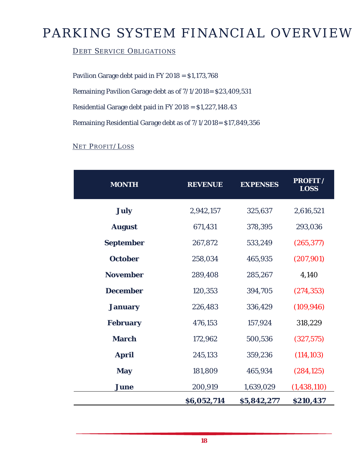# PARKING SYSTEM FINANCIAL OVERVIEW

### DEBT SERVICE OBLIGATIONS

Pavilion Garage debt paid in FY 2018 = \$1,173,768

Remaining Pavilion Garage debt as of 7/1/2018= \$23,409,531

Residential Garage debt paid in FY 2018 = \$1,227,148.43

Remaining Residential Garage debt as of 7/1/2018= \$17,849,356

### NET PROFIT/LOSS

| <b>MONTH</b>     | <b>REVENUE</b> | <b>EXPENSES</b> | <b>PROFIT /</b><br><b>LOSS</b> |
|------------------|----------------|-----------------|--------------------------------|
| <b>July</b>      | 2,942,157      | 325,637         | 2,616,521                      |
| <b>August</b>    | 671,431        | 378,395         | 293,036                        |
| <b>September</b> | 267,872        | 533,249         | (265, 377)                     |
| <b>October</b>   | 258,034        | 465,935         | (207, 901)                     |
| <b>November</b>  | 289,408        | 285,267         | 4,140                          |
| <b>December</b>  | 120,353        | 394,705         | (274, 353)                     |
| <b>January</b>   | 226,483        | 336,429         | (109, 946)                     |
| <b>February</b>  | 476,153        | 157,924         | 318,229                        |
| <b>March</b>     | 172,962        | 500,536         | (327, 575)                     |
| <b>April</b>     | 245,133        | 359,236         | (114, 103)                     |
| <b>May</b>       | 181,809        | 465,934         | (284, 125)                     |
| <b>June</b>      | 200,919        | 1,639,029       | (1, 438, 110)                  |
|                  | \$6,052,714    | \$5,842,277     | \$210,437                      |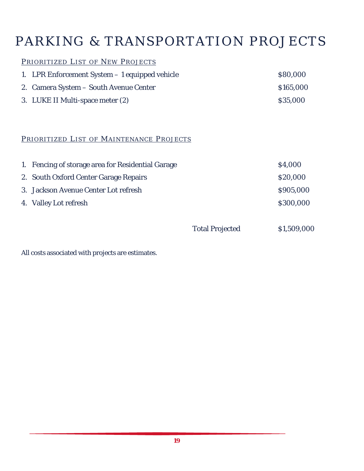# PARKING & TRANSPORTATION PROJECTS

### PRIORITIZED LIST OF NEW PROJECTS

| 1. LPR Enforcement System – 1 equipped vehicle | \$80,000  |
|------------------------------------------------|-----------|
| 2. Camera System – South Avenue Center         | \$165,000 |
| 3. LUKE II Multi-space meter (2)               | \$35,000  |

### PRIORITIZED LIST OF MAINTENANCE PROJECTS

| 1. Fencing of storage area for Residential Garage | \$4,000   |
|---------------------------------------------------|-----------|
| 2. South Oxford Center Garage Repairs             | \$20,000  |
| 3. Jackson Avenue Center Lot refresh              | \$905,000 |
| 4. Valley Lot refresh                             | \$300,000 |

Total Projected \$1,509,000

All costs associated with projects are estimates.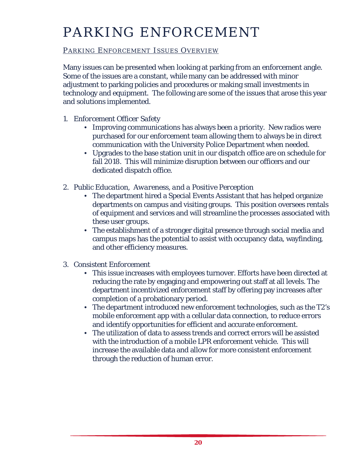# PARKING ENFORCEMENT

### PARKING ENFORCEMENT ISSUES OVERVIEW

Many issues can be presented when looking at parking from an enforcement angle. Some of the issues are a constant, while many can be addressed with minor adjustment to parking policies and procedures or making small investments in technology and equipment. The following are some of the issues that arose this year and solutions implemented.

- *1. Enforcement Officer Safety* 
	- Improving communications has always been a priority. New radios were purchased for our enforcement team allowing them to always be in direct communication with the University Police Department when needed.
	- Upgrades to the base station unit in our dispatch office are on schedule for fall 2018. This will minimize disruption between our officers and our dedicated dispatch office.
- *2. Public Education, Awareness, and a Positive Perception*
	- The department hired a Special Events Assistant that has helped organize departments on campus and visiting groups. This position oversees rentals of equipment and services and will streamline the processes associated with these user groups.
	- The establishment of a stronger digital presence through social media and campus maps has the potential to assist with occupancy data, wayfinding, and other efficiency measures.
- *3. Consistent Enforcement*
	- This issue increases with employees turnover. Efforts have been directed at reducing the rate by engaging and empowering out staff at all levels. The department incentivized enforcement staff by offering pay increases after completion of a probationary period.
	- The department introduced new enforcement technologies, such as the T2's mobile enforcement app with a cellular data connection, to reduce errors and identify opportunities for efficient and accurate enforcement.
	- The utilization of data to assess trends and correct errors will be assisted with the introduction of a mobile LPR enforcement vehicle. This will increase the available data and allow for more consistent enforcement through the reduction of human error.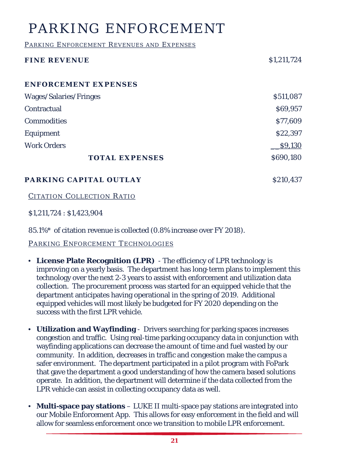# PARKING ENFORCEMENT

PARKING ENFORCEMENT REVENUES AND EXPENSES

| <b>FINE REVENUE</b>           | \$1,211,724 |
|-------------------------------|-------------|
| ENFORCEMENT EXPENSES          |             |
| <b>Wages/Salaries/Fringes</b> | \$511,087   |
| Contractual                   | \$69,957    |
| <b>Commodities</b>            | \$77,609    |
| Equipment                     | \$22,397    |
| <b>Work Orders</b>            | \$9,130     |
| <b>TOTAL EXPENSES</b>         | \$690,180   |

**PARKING CAPITAL OUTLAY** \$210,437

CITATION COLLECTION RATIO

\$1,211,724 : \$1,423,904

85.1%\* of citation revenue is collected (0.8% increase over FY 2018).

PARKING ENFORCEMENT TECHNOLOGIES

- **License Plate Recognition (LPR)**  The efficiency of LPR technology is improving on a yearly basis. The department has long-term plans to implement this technology over the next 2-3 years to assist with enforcement and utilization data collection. The procurement process was started for an equipped vehicle that the department anticipates having operational in the spring of 2019. Additional equipped vehicles will most likely be budgeted for FY 2020 depending on the success with the first LPR vehicle.
- **Utilization and Wayfinding**  Drivers searching for parking spaces increases congestion and traffic. Using real-time parking occupancy data in conjunction with wayfinding applications can decrease the amount of time and fuel wasted by our community. In addition, decreases in traffic and congestion make the campus a safer environment. The department participated in a pilot program with FoPark that gave the department a good understanding of how the camera based solutions operate. In addition, the department will determine if the data collected from the LPR vehicle can assist in collecting occupancy data as well.
- **Multi-space pay stations** LUKE II multi-space pay stations are integrated into our Mobile Enforcement App. This allows for easy enforcement in the field and will allow for seamless enforcement once we transition to mobile LPR enforcement.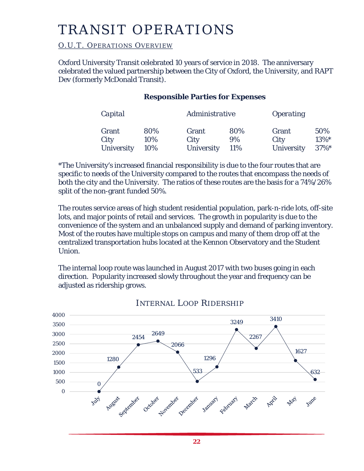# TRANSIT OPERATIONS

### O.U.T. OPERATIONS OVERVIEW

Oxford University Transit celebrated 10 years of service in 2018. The anniversary celebrated the valued partnership between the City of Oxford, the University, and RAPT Dev (formerly McDonald Transit).

### **Responsible Parties for Expenses**

| Capital           |     | Administrative    |     | <i><b>Operating</b></i> |          |  |
|-------------------|-----|-------------------|-----|-------------------------|----------|--|
| Grant             | 80% | Grant             | 80% | Grant                   | 50%      |  |
| City              | 10% | City              | 9%  | City                    | 13%*     |  |
| <b>University</b> | 10% | <b>University</b> | 11% | <b>University</b>       | $37\%$ * |  |

\*The University's increased financial responsibility is due to the four routes that are specific to needs of the University compared to the routes that encompass the needs of both the city and the University. The ratios of these routes are the basis for a 74%/26% split of the non-grant funded 50%.

The routes service areas of high student residential population, park-n-ride lots, off-site lots, and major points of retail and services. The growth in popularity is due to the convenience of the system and an unbalanced supply and demand of parking inventory. Most of the routes have multiple stops on campus and many of them drop off at the centralized transportation hubs located at the Kennon Observatory and the Student Union.

The internal loop route was launched in August 2017 with two buses going in each direction. Popularity increased slowly throughout the year and frequency can be adjusted as ridership grows.



### INTERNAL LOOP RIDERSHIP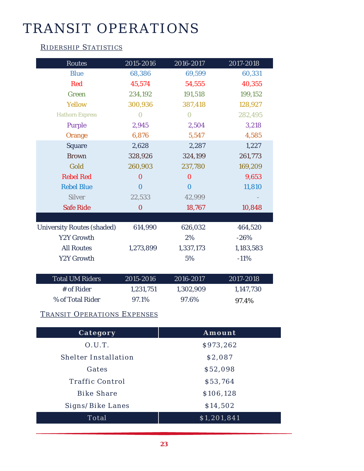# TRANSIT OPERATIONS

### RIDERSHIP STATISTICS

| <b>Routes</b>                     | 2015-2016 | 2016-2017 | 2017-2018 |
|-----------------------------------|-----------|-----------|-----------|
| <b>Blue</b>                       | 68,386    | 69,599    | 60,331    |
| <b>Red</b>                        | 45,574    | 54,555    | 40,355    |
| Green                             | 234,192   | 191,518   | 199,152   |
| <b>Yellow</b>                     | 300,936   | 387,418   | 128,927   |
| <b>Hathorn Express</b>            | 0         | $\Omega$  | 282,495   |
| Purple                            | 2,945     | 2,504     | 3,218     |
| Orange                            | 6,876     | 5,547     | 4,585     |
| <b>Square</b>                     | 2,628     | 2,287     | 1,227     |
| <b>Brown</b>                      | 328,926   | 324,199   | 261,773   |
| Gold                              | 260,903   | 237,780   | 169,209   |
| <b>Rebel Red</b>                  | $\bf{0}$  | $\Omega$  | 9,653     |
| <b>Rebel Blue</b>                 | $\Omega$  | $\Omega$  | 11,810    |
| <b>Silver</b>                     | 22,533    | 42,999    |           |
| <b>Safe Ride</b>                  | $\bf{0}$  | 18,767    | 10,848    |
|                                   |           |           |           |
| <b>University Routes (shaded)</b> | 614,990   | 626,032   | 464,520   |
| <b>Y2Y Growth</b>                 |           | 2%        | $-26%$    |
| <b>All Routes</b>                 | 1,273,899 | 1,337,173 | 1,183,583 |
| Y2Y Growth                        |           | 5%        | $-11%$    |
|                                   |           |           |           |
| <b>Total UM Riders</b>            | 2015-2016 | 2016-2017 | 2017-2018 |
| # of Rider                        | 1,231,751 | 1,302,909 | 1,147,730 |
| % of Total Rider                  | 97.1%     | 97.6%     | 97.4%     |

### TRANSIT OPERATIONS EXPENSES

| Category                    | Amount      |  |
|-----------------------------|-------------|--|
| 0.U.T.                      | \$973,262   |  |
| <b>Shelter Installation</b> | \$2,087     |  |
| Gates                       | \$52,098    |  |
| <b>Traffic Control</b>      | \$53,764    |  |
| <b>Bike Share</b>           | \$106,128   |  |
| Signs/Bike Lanes            | \$14,502    |  |
| Total                       | \$1,201,841 |  |